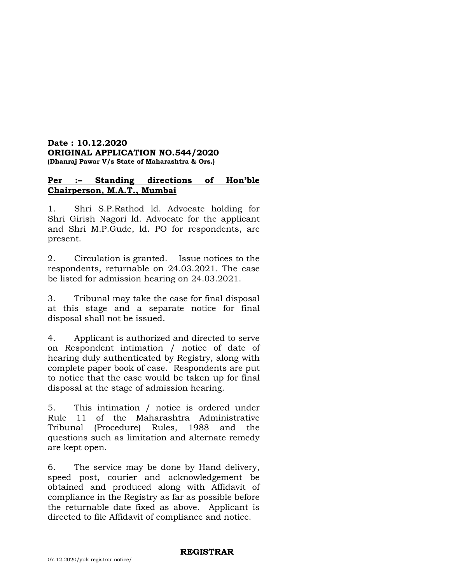## **Date : 10.12.2020 ORIGINAL APPLICATION NO.544/2020 (Dhanraj Pawar V/s State of Maharashtra & Ors.)**

# **Per :– Standing directions of Hon'ble Chairperson, M.A.T., Mumbai**

1. Shri S.P.Rathod ld. Advocate holding for Shri Girish Nagori ld. Advocate for the applicant and Shri M.P.Gude, ld. PO for respondents, are present.

2. Circulation is granted. Issue notices to the respondents, returnable on 24.03.2021. The case be listed for admission hearing on 24.03.2021.

3. Tribunal may take the case for final disposal at this stage and a separate notice for final disposal shall not be issued.

4. Applicant is authorized and directed to serve on Respondent intimation / notice of date of hearing duly authenticated by Registry, along with complete paper book of case. Respondents are put to notice that the case would be taken up for final disposal at the stage of admission hearing.

5. This intimation / notice is ordered under Rule 11 of the Maharashtra Administrative Tribunal (Procedure) Rules, 1988 and the questions such as limitation and alternate remedy are kept open.

6. The service may be done by Hand delivery, speed post, courier and acknowledgement be obtained and produced along with Affidavit of compliance in the Registry as far as possible before the returnable date fixed as above. Applicant is directed to file Affidavit of compliance and notice.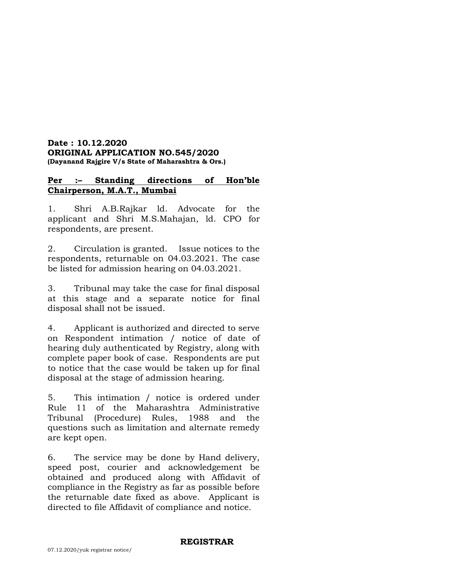#### **Date : 10.12.2020 ORIGINAL APPLICATION NO.545/2020 (Dayanand Rajgire V/s State of Maharashtra & Ors.)**

## **Per :– Standing directions of Hon'ble Chairperson, M.A.T., Mumbai**

1. Shri A.B.Rajkar ld. Advocate for the applicant and Shri M.S.Mahajan, ld. CPO for respondents, are present.

2. Circulation is granted. Issue notices to the respondents, returnable on 04.03.2021. The case be listed for admission hearing on 04.03.2021.

3. Tribunal may take the case for final disposal at this stage and a separate notice for final disposal shall not be issued.

4. Applicant is authorized and directed to serve on Respondent intimation / notice of date of hearing duly authenticated by Registry, along with complete paper book of case. Respondents are put to notice that the case would be taken up for final disposal at the stage of admission hearing.

5. This intimation / notice is ordered under Rule 11 of the Maharashtra Administrative Tribunal (Procedure) Rules, 1988 and the questions such as limitation and alternate remedy are kept open.

6. The service may be done by Hand delivery, speed post, courier and acknowledgement be obtained and produced along with Affidavit of compliance in the Registry as far as possible before the returnable date fixed as above. Applicant is directed to file Affidavit of compliance and notice.